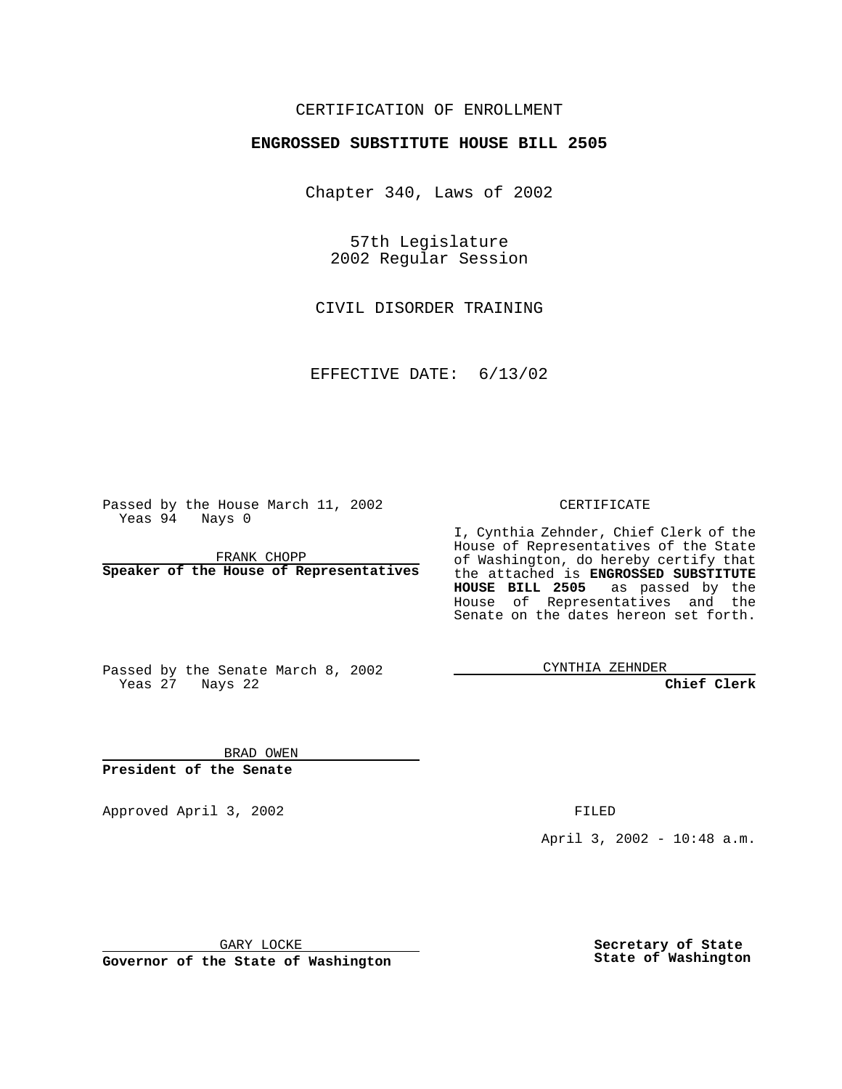### CERTIFICATION OF ENROLLMENT

# **ENGROSSED SUBSTITUTE HOUSE BILL 2505**

Chapter 340, Laws of 2002

57th Legislature 2002 Regular Session

CIVIL DISORDER TRAINING

EFFECTIVE DATE: 6/13/02

Passed by the House March 11, 2002 Yeas 94 Nays 0

FRANK CHOPP **Speaker of the House of Representatives** CERTIFICATE

I, Cynthia Zehnder, Chief Clerk of the House of Representatives of the State of Washington, do hereby certify that the attached is **ENGROSSED SUBSTITUTE HOUSE BILL 2505** as passed by the House of Representatives and the Senate on the dates hereon set forth.

Passed by the Senate March 8, 2002 Yeas 27 Nays 22

CYNTHIA ZEHNDER

**Chief Clerk**

BRAD OWEN **President of the Senate**

Approved April 3, 2002 **FILED** 

April 3, 2002 - 10:48 a.m.

GARY LOCKE

**Governor of the State of Washington**

**Secretary of State State of Washington**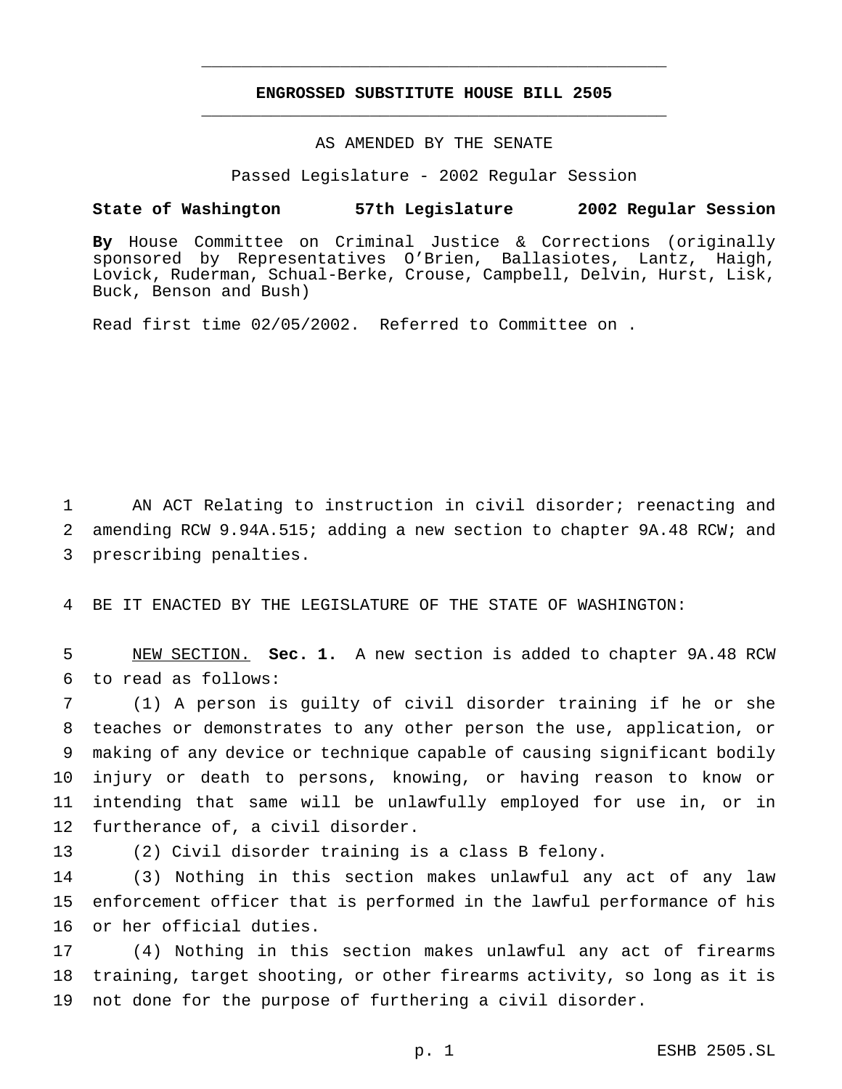## **ENGROSSED SUBSTITUTE HOUSE BILL 2505** \_\_\_\_\_\_\_\_\_\_\_\_\_\_\_\_\_\_\_\_\_\_\_\_\_\_\_\_\_\_\_\_\_\_\_\_\_\_\_\_\_\_\_\_\_\_\_

\_\_\_\_\_\_\_\_\_\_\_\_\_\_\_\_\_\_\_\_\_\_\_\_\_\_\_\_\_\_\_\_\_\_\_\_\_\_\_\_\_\_\_\_\_\_\_

#### AS AMENDED BY THE SENATE

Passed Legislature - 2002 Regular Session

#### **State of Washington 57th Legislature 2002 Regular Session**

**By** House Committee on Criminal Justice & Corrections (originally sponsored by Representatives O'Brien, Ballasiotes, Lantz, Haigh, Lovick, Ruderman, Schual-Berke, Crouse, Campbell, Delvin, Hurst, Lisk, Buck, Benson and Bush)

Read first time 02/05/2002. Referred to Committee on .

 AN ACT Relating to instruction in civil disorder; reenacting and amending RCW 9.94A.515; adding a new section to chapter 9A.48 RCW; and prescribing penalties.

BE IT ENACTED BY THE LEGISLATURE OF THE STATE OF WASHINGTON:

 NEW SECTION. **Sec. 1.** A new section is added to chapter 9A.48 RCW to read as follows:

 (1) A person is guilty of civil disorder training if he or she teaches or demonstrates to any other person the use, application, or making of any device or technique capable of causing significant bodily injury or death to persons, knowing, or having reason to know or intending that same will be unlawfully employed for use in, or in furtherance of, a civil disorder.

(2) Civil disorder training is a class B felony.

 (3) Nothing in this section makes unlawful any act of any law enforcement officer that is performed in the lawful performance of his or her official duties.

 (4) Nothing in this section makes unlawful any act of firearms training, target shooting, or other firearms activity, so long as it is not done for the purpose of furthering a civil disorder.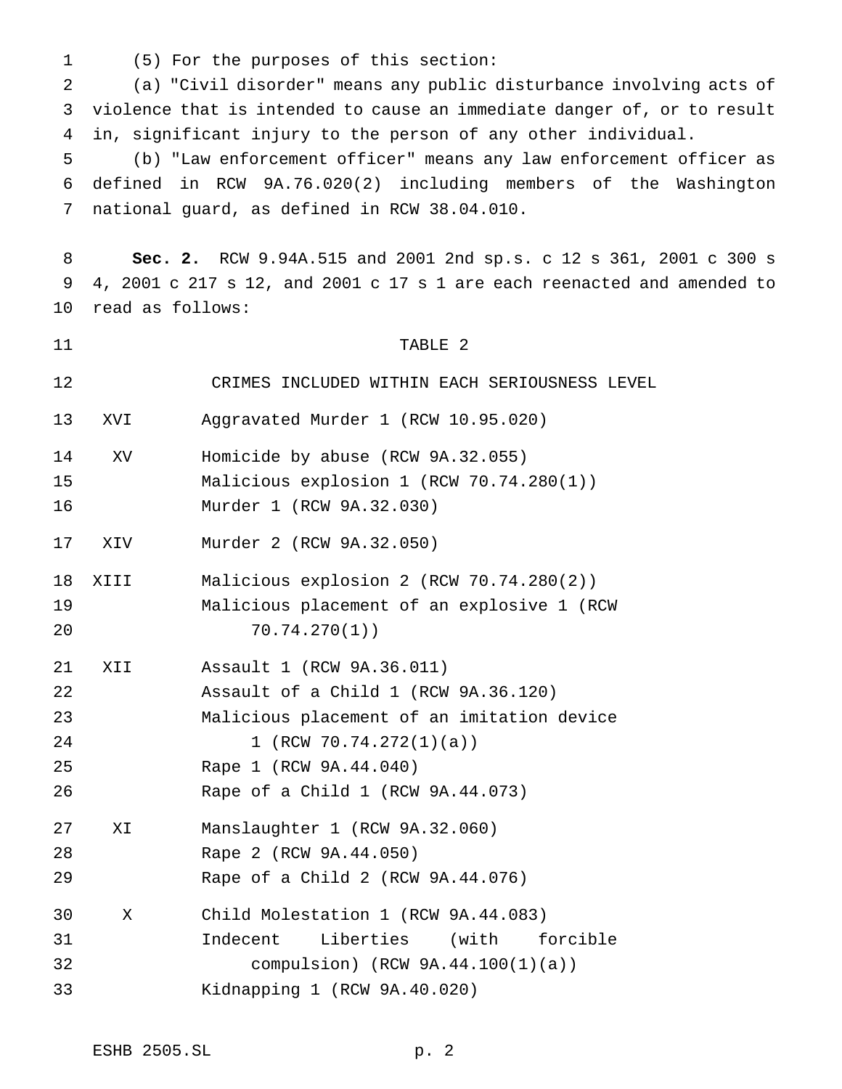(5) For the purposes of this section: (a) "Civil disorder" means any public disturbance involving acts of violence that is intended to cause an immediate danger of, or to result in, significant injury to the person of any other individual. (b) "Law enforcement officer" means any law enforcement officer as defined in RCW 9A.76.020(2) including members of the Washington national guard, as defined in RCW 38.04.010. **Sec. 2.** RCW 9.94A.515 and 2001 2nd sp.s. c 12 s 361, 2001 c 300 s 4, 2001 c 217 s 12, and 2001 c 17 s 1 are each reenacted and amended to read as follows: 11 TABLE 2 CRIMES INCLUDED WITHIN EACH SERIOUSNESS LEVEL XVI Aggravated Murder 1 (RCW 10.95.020) XV Homicide by abuse (RCW 9A.32.055) Malicious explosion 1 (RCW 70.74.280(1)) Murder 1 (RCW 9A.32.030) XIV Murder 2 (RCW 9A.32.050) XIII Malicious explosion 2 (RCW 70.74.280(2)) Malicious placement of an explosive 1 (RCW 70.74.270(1)) XII Assault 1 (RCW 9A.36.011) Assault of a Child 1 (RCW 9A.36.120) Malicious placement of an imitation device 24 1 (RCW 70.74.272(1)(a)) Rape 1 (RCW 9A.44.040) Rape of a Child 1 (RCW 9A.44.073) XI Manslaughter 1 (RCW 9A.32.060) Rape 2 (RCW 9A.44.050) Rape of a Child 2 (RCW 9A.44.076) X Child Molestation 1 (RCW 9A.44.083) Indecent Liberties (with forcible compulsion) (RCW 9A.44.100(1)(a)) Kidnapping 1 (RCW 9A.40.020)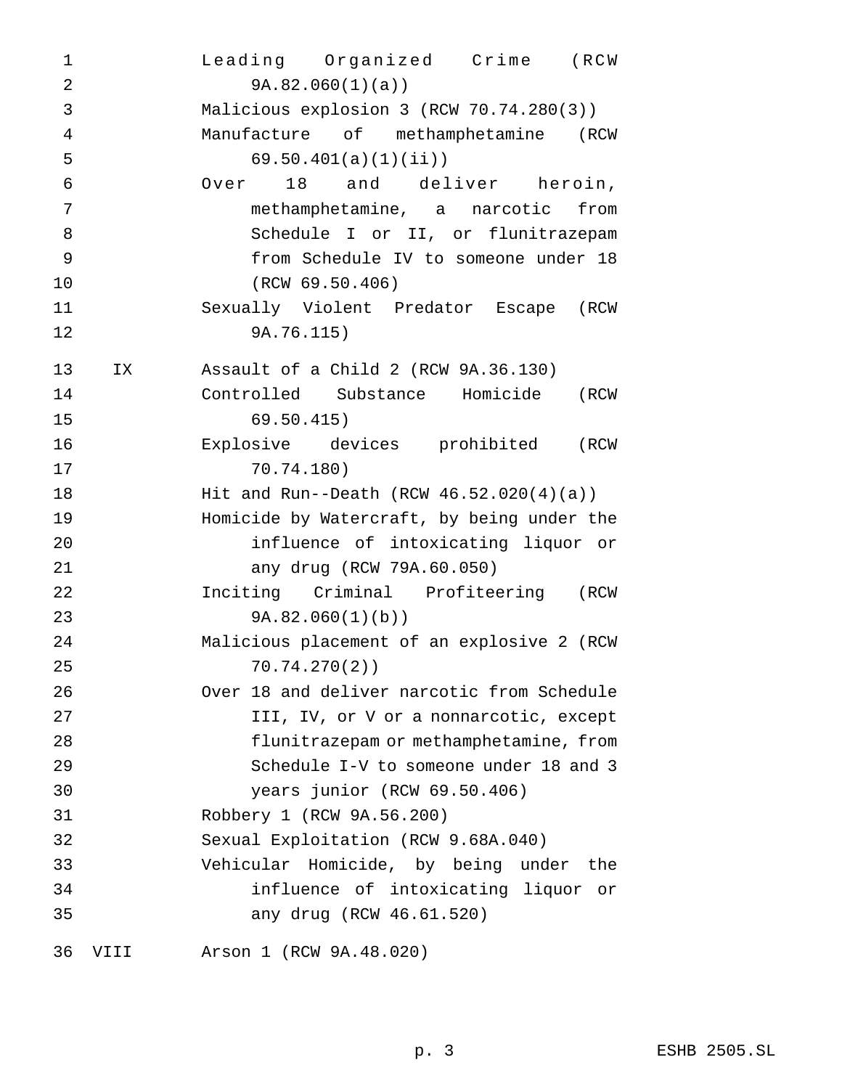| 1              |      | Leading Organized Crime (RCW                |
|----------------|------|---------------------------------------------|
| $\overline{2}$ |      | 9A.82.060(1)(a)                             |
| 3              |      | Malicious explosion 3 (RCW 70.74.280(3))    |
| $\overline{4}$ |      | Manufacture of methamphetamine (RCW         |
| 5              |      | 69.50.401(a)(1)(ii)                         |
| $\epsilon$     |      | Over 18 and deliver heroin,                 |
| 7              |      | methamphetamine, a narcotic from            |
| 8              |      | Schedule I or II, or flunitrazepam          |
| 9              |      | from Schedule IV to someone under 18        |
| 10             |      | (RCW 69.50.406)                             |
| 11             |      | Sexually Violent Predator Escape (RCW       |
| 12             |      | 9A.76.115)                                  |
| 13             | IX   | Assault of a Child 2 (RCW 9A.36.130)        |
| 14             |      | Controlled Substance Homicide (RCW          |
| 15             |      | 69.50.415)                                  |
| 16             |      | Explosive devices prohibited (RCW           |
| 17             |      | 70.74.180)                                  |
| $18\,$         |      | Hit and Run--Death (RCW $46.52.020(4)(a)$ ) |
| 19             |      | Homicide by Watercraft, by being under the  |
| 20             |      | influence of intoxicating liquor or         |
| 21             |      | any drug (RCW 79A.60.050)                   |
| 22             |      | Inciting Criminal Profiteering (RCW         |
| 23             |      | 9A.82.060(1)(b)                             |
| 24             |      | Malicious placement of an explosive 2 (RCW  |
| 25             |      | 70.74.270(2)                                |
| 26             |      | Over 18 and deliver narcotic from Schedule  |
| 27             |      | III, IV, or V or a nonnarcotic, except      |
| 28             |      | flunitrazepam or methamphetamine, from      |
| 29             |      | Schedule I-V to someone under 18 and 3      |
| 30             |      | years junior (RCW 69.50.406)                |
| 31             |      | Robbery 1 (RCW 9A.56.200)                   |
| 32             |      | Sexual Exploitation (RCW 9.68A.040)         |
| 33             |      | Vehicular Homicide, by being under the      |
| 34             |      | influence of intoxicating liquor or         |
| 35             |      | any drug (RCW 46.61.520)                    |
| 36             | VIII | Arson 1 (RCW 9A.48.020)                     |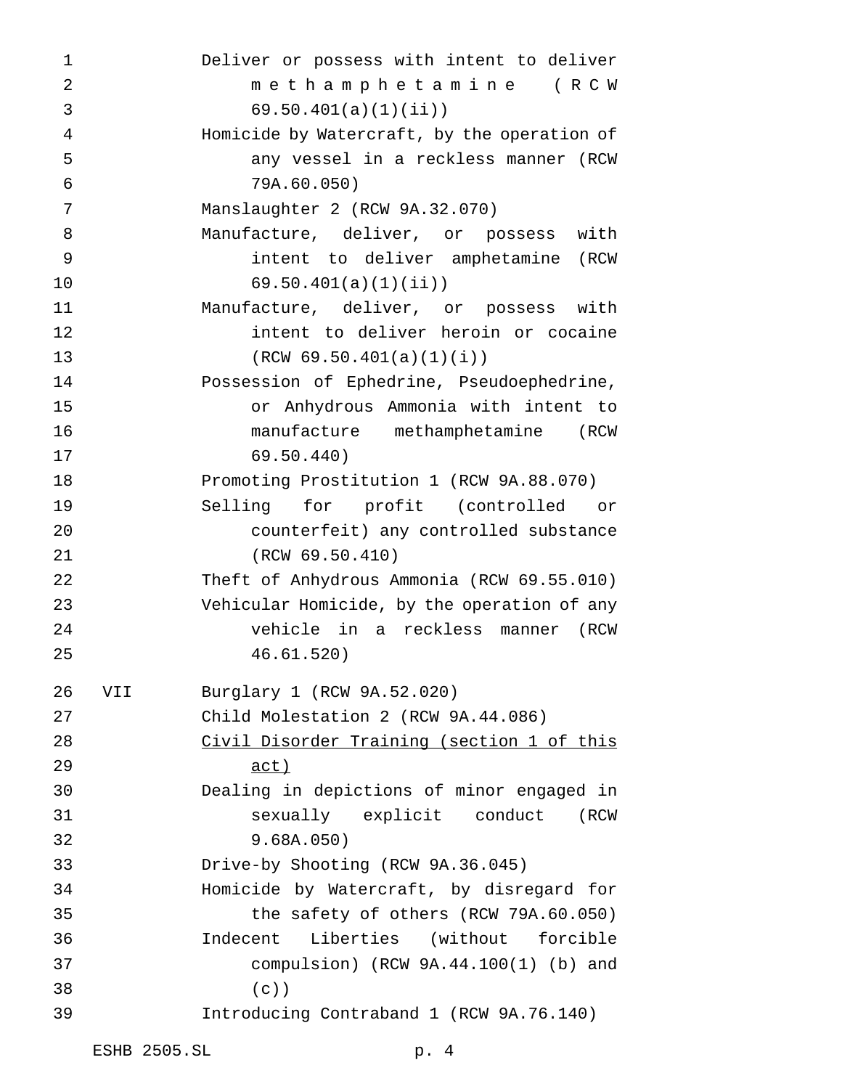| 1              |     | Deliver or possess with intent to deliver   |
|----------------|-----|---------------------------------------------|
| $\overline{2}$ |     | methamphetamine (RCW                        |
| 3              |     | 69.50.401(a)(1)(ii)                         |
| 4              |     | Homicide by Watercraft, by the operation of |
| 5              |     | any vessel in a reckless manner (RCW        |
| 6              |     | 79A.60.050)                                 |
| 7              |     | Manslaughter 2 (RCW 9A.32.070)              |
| 8              |     | Manufacture, deliver, or possess with       |
| 9              |     | intent to deliver amphetamine (RCW          |
| 10             |     | 69.50.401(a)(1)(ii)                         |
| 11             |     | Manufacture, deliver, or possess with       |
| 12             |     | intent to deliver heroin or cocaine         |
| 13             |     | (RCW 69.50.401(a)(1)(i))                    |
| 14             |     | Possession of Ephedrine, Pseudoephedrine,   |
| 15             |     | or Anhydrous Ammonia with intent to         |
| 16             |     | manufacture methamphetamine (RCW            |
| 17             |     | 69.50.440)                                  |
| 18             |     | Promoting Prostitution 1 (RCW 9A.88.070)    |
| 19             |     | Selling for profit (controlled or           |
| 20             |     | counterfeit) any controlled substance       |
| 21             |     | (RCW 69.50.410)                             |
| 22             |     | Theft of Anhydrous Ammonia (RCW 69.55.010)  |
| 23             |     | Vehicular Homicide, by the operation of any |
| 24             |     | vehicle in a reckless manner (RCW           |
| 25             |     | 46.61.520)                                  |
| 26             | VII | Burglary 1 (RCW 9A.52.020)                  |
| 27             |     | Child Molestation 2 (RCW 9A.44.086)         |
| 28             |     | Civil Disorder Training (section 1 of this  |
| 29             |     | <u>act)</u>                                 |
| 30             |     | Dealing in depictions of minor engaged in   |
| 31             |     | sexually explicit conduct<br>(RCW           |
| 32             |     | 9.68A.050)                                  |
| 33             |     | Drive-by Shooting (RCW 9A.36.045)           |
| 34             |     | Homicide by Watercraft, by disregard for    |
| 35             |     | the safety of others (RCW 79A.60.050)       |
| 36             |     | Indecent Liberties (without forcible        |
| 37             |     | compulsion) (RCW $9A.44.100(1)$ (b) and     |
| 38             |     | $(c)$ )                                     |
| 39             |     | Introducing Contraband 1 (RCW 9A.76.140)    |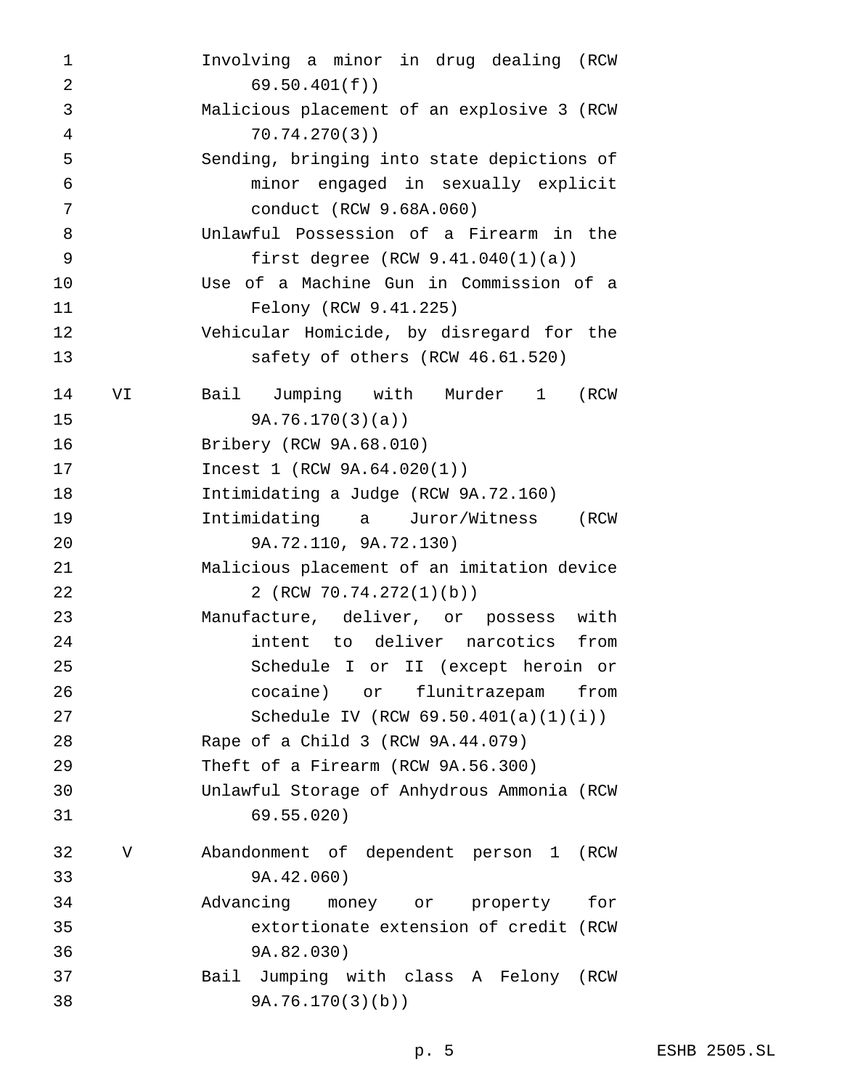| 1              |    | Involving a minor in drug dealing (RCW     |
|----------------|----|--------------------------------------------|
| $\overline{2}$ |    | 69.50.401(f)                               |
| 3              |    | Malicious placement of an explosive 3 (RCW |
| 4              |    | 70.74.270(3)                               |
| 5              |    | Sending, bringing into state depictions of |
| 6              |    | minor engaged in sexually explicit         |
| 7              |    | conduct (RCW 9.68A.060)                    |
| 8              |    | Unlawful Possession of a Firearm in the    |
| 9              |    | first degree $(RCW 9.41.040(1)(a))$        |
| 10             |    | Use of a Machine Gun in Commission of a    |
| 11             |    | Felony (RCW 9.41.225)                      |
| 12             |    | Vehicular Homicide, by disregard for the   |
| 13             |    | safety of others (RCW 46.61.520)           |
| 14             | VI | Jumping with Murder 1<br>Bail<br>(RCW      |
| 15             |    | 9A.76.170(3)(a)                            |
| 16             |    | Bribery (RCW 9A.68.010)                    |
| 17             |    | Incest 1 (RCW 9A.64.020(1))                |
| 18             |    | Intimidating a Judge (RCW 9A.72.160)       |
| 19             |    | Intimidating a Juror/Witness<br>(RCW       |
| 20             |    | 9A.72.110, 9A.72.130)                      |
| 21             |    | Malicious placement of an imitation device |
| 22             |    | 2 (RCW 70.74.272(1)(b))                    |
| 23             |    | Manufacture, deliver, or possess with      |
| 24             |    | intent to deliver narcotics from           |
| 25             |    | Schedule I or II (except heroin or         |
| 26             |    | cocaine) or flunitrazepam from             |
| 27             |    | Schedule IV (RCW $69.50.401(a)(1)(i)$ )    |
| 28             |    | Rape of a Child 3 (RCW 9A.44.079)          |
| 29             |    | Theft of a Firearm (RCW 9A.56.300)         |
| 30             |    | Unlawful Storage of Anhydrous Ammonia (RCW |
| 31             |    | 69.55.020)                                 |
| 32             | V  | Abandonment of dependent person 1 (RCW     |
| 33             |    | 9A.42.060)                                 |
| 34             |    | Advancing money or property<br>for         |
| 35             |    | extortionate extension of credit (RCW      |
| 36             |    | 9A.82.030)                                 |
| 37             |    | Bail Jumping with class A Felony (RCW      |
|                |    |                                            |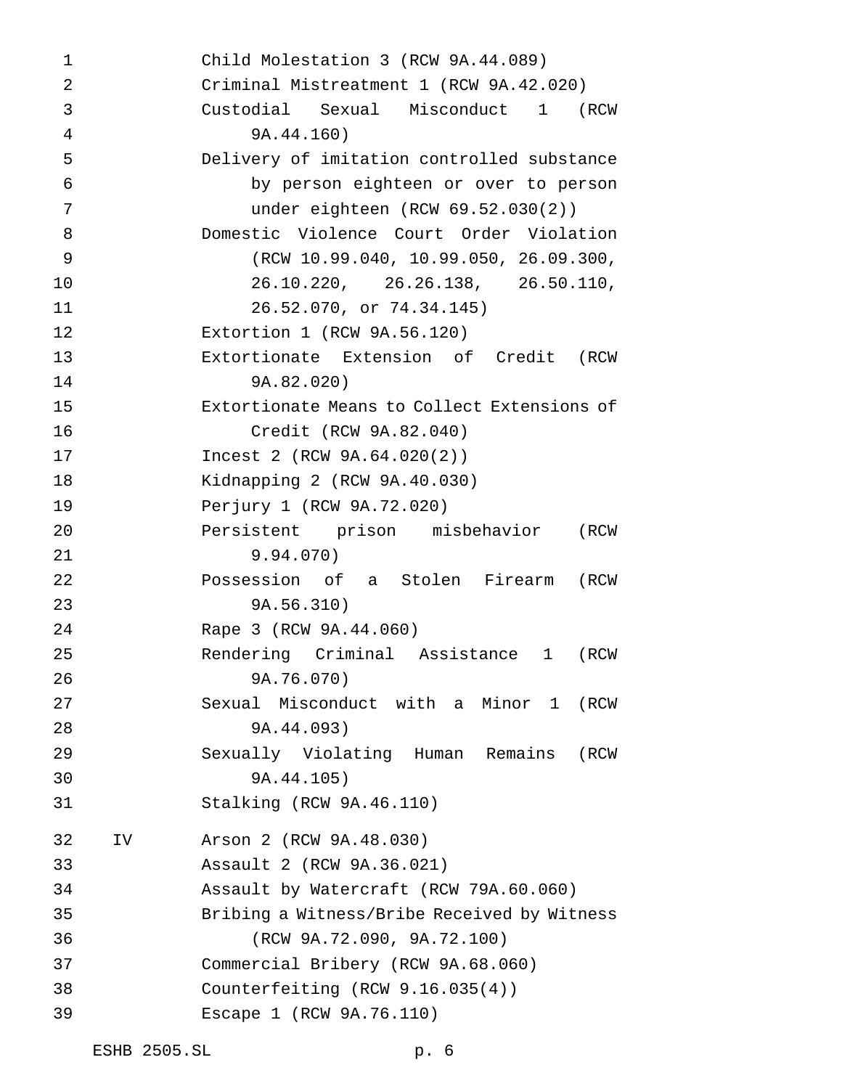| 1  |    | Child Molestation 3 (RCW 9A.44.089)         |
|----|----|---------------------------------------------|
| 2  |    | Criminal Mistreatment 1 (RCW 9A.42.020)     |
| 3  |    | Custodial Sexual Misconduct 1 (RCW          |
| 4  |    | 9A.44.160)                                  |
| 5  |    | Delivery of imitation controlled substance  |
| 6  |    | by person eighteen or over to person        |
| 7  |    | under eighteen $(RCW 69.52.030(2))$         |
| 8  |    | Domestic Violence Court Order Violation     |
| 9  |    | RCW 10.99.040, 10.99.050, 26.09.300,        |
| 10 |    | 26.10.220, 26.26.138, 26.50.110,            |
| 11 |    | 26.52.070, or 74.34.145)                    |
| 12 |    | Extortion 1 (RCW 9A.56.120)                 |
| 13 |    | Extortionate Extension of Credit (RCW       |
| 14 |    | 9A.82.020)                                  |
| 15 |    | Extortionate Means to Collect Extensions of |
| 16 |    | Credit (RCW 9A.82.040)                      |
| 17 |    | Incest 2 (RCW 9A.64.020(2))                 |
| 18 |    | Kidnapping 2 (RCW 9A.40.030)                |
| 19 |    | Perjury 1 (RCW 9A.72.020)                   |
| 20 |    | Persistent prison misbehavior<br>(RCW       |
| 21 |    | 9.94.070)                                   |
| 22 |    | Possession of a Stolen Firearm (RCW         |
| 23 |    | 9A.56.310)                                  |
| 24 |    | Rape 3 (RCW 9A.44.060)                      |
| 25 |    | Rendering Criminal Assistance 1<br>(RCW     |
| 26 |    | 9A.76.070)                                  |
| 27 |    | Sexual Misconduct with a Minor 1<br>(RCW    |
| 28 |    | 9A.44.093)                                  |
| 29 |    | Sexually Violating Human Remains<br>(RCW    |
| 30 |    | 9A.44.105)                                  |
| 31 |    | Stalking (RCW 9A.46.110)                    |
| 32 | IV | Arson 2 (RCW 9A.48.030)                     |
| 33 |    | Assault 2 (RCW 9A.36.021)                   |
| 34 |    | Assault by Watercraft (RCW 79A.60.060)      |
| 35 |    | Bribing a Witness/Bribe Received by Witness |
| 36 |    | (RCW 9A.72.090, 9A.72.100)                  |
| 37 |    | Commercial Bribery (RCW 9A.68.060)          |
| 38 |    | Counterfeiting $(RCW 9.16.035(4))$          |
| 39 |    | Escape 1 (RCW 9A.76.110)                    |
|    |    |                                             |

ESHB 2505.SL p. 6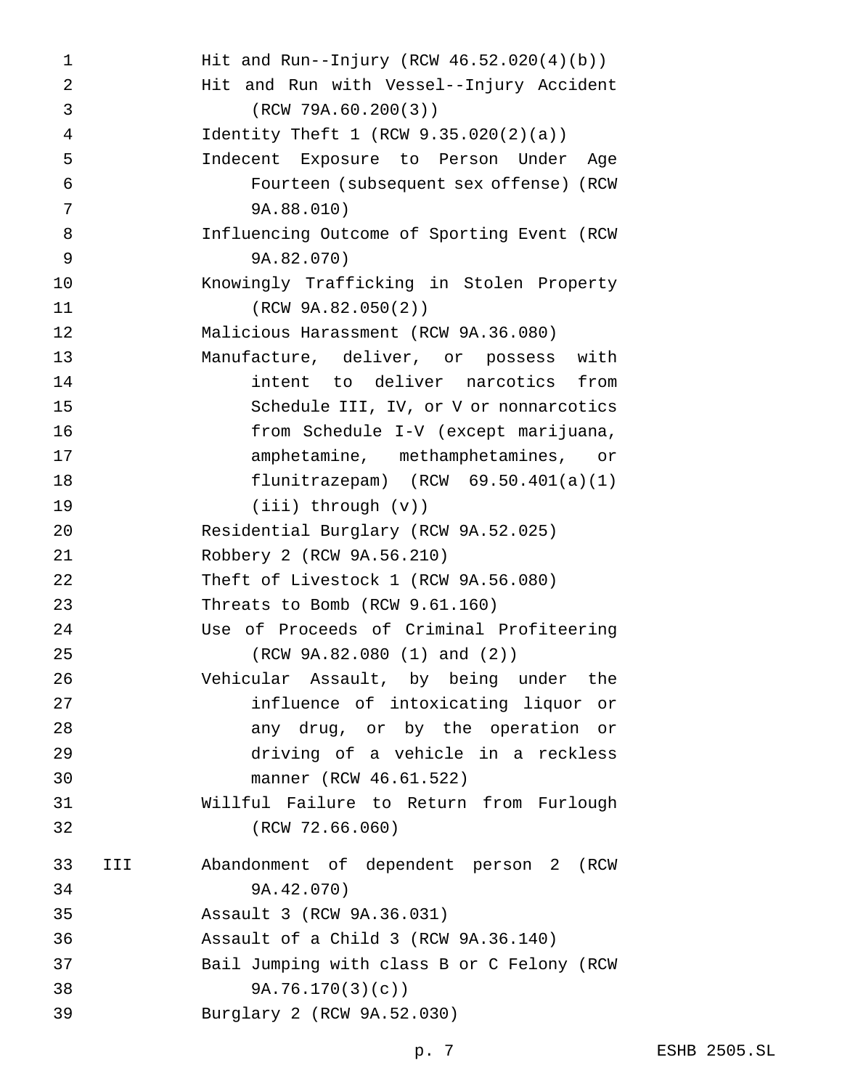| 1         | Hit and Run--Injury (RCW $46.52.020(4)(b)$ ) |
|-----------|----------------------------------------------|
| 2         | Hit and Run with Vessel--Injury Accident     |
| 3         | (RCW 79A.60.200(3))                          |
| 4         | Identity Theft 1 (RCW $9.35.020(2)(a)$ )     |
| 5         | Indecent Exposure to Person Under Age        |
| 6         | Fourteen (subsequent sex offense) (RCW       |
| 7         | 9A.88.010)                                   |
| 8         | Influencing Outcome of Sporting Event (RCW   |
| 9         | 9A.82.070)                                   |
| 10        | Knowingly Trafficking in Stolen Property     |
| 11        | (RCW 9A.82.050(2))                           |
| 12        | Malicious Harassment (RCW 9A.36.080)         |
| 13        | Manufacture, deliver, or possess with        |
| 14        | intent to deliver narcotics from             |
| 15        | Schedule III, IV, or V or nonnarcotics       |
| 16        | from Schedule I-V (except marijuana,         |
| 17        | amphetamine, methamphetamines, or            |
| 18        | flunitrazepam) $(RCW 69.50.401(a)(1))$       |
| 19        | $(iii)$ through $(v)$ )                      |
| 20        | Residential Burglary (RCW 9A.52.025)         |
| 21        | Robbery 2 (RCW 9A.56.210)                    |
| 22        | Theft of Livestock 1 (RCW 9A.56.080)         |
| 23        | Threats to Bomb (RCW 9.61.160)               |
| 24        | Use of Proceeds of Criminal Profiteering     |
| 25        | (RCW 9A.82.080 (1) and (2))                  |
| 26        | Vehicular Assault, by being under the        |
| 27        | influence of intoxicating liquor or          |
| 28        | any drug, or by the operation or             |
| 29        | driving of a vehicle in a reckless           |
| 30        | manner (RCW 46.61.522)                       |
| 31        | Willful Failure to Return from Furlough      |
|           | (RCW 72.66.060)                              |
| 33<br>III | Abandonment of dependent person 2 (RCW       |
| 34        | 9A.42.070)                                   |
| 35        | Assault 3 (RCW 9A.36.031)                    |
| 36        | Assault of a Child 3 (RCW 9A.36.140)         |
| 37        | Bail Jumping with class B or C Felony (RCW   |
| 38        | 9A.76.170(3)(c)                              |
| 39        | Burglary 2 (RCW 9A.52.030)                   |
|           |                                              |
|           |                                              |
|           |                                              |
|           |                                              |
|           |                                              |
|           |                                              |
|           |                                              |
| 32        |                                              |
|           |                                              |
|           |                                              |
|           |                                              |
|           |                                              |
|           |                                              |
|           |                                              |
|           |                                              |
|           |                                              |
|           |                                              |
|           |                                              |
|           |                                              |
|           |                                              |
|           |                                              |
|           |                                              |
|           |                                              |
|           |                                              |
|           |                                              |
|           |                                              |
|           |                                              |
|           |                                              |
|           |                                              |
|           |                                              |
|           |                                              |
|           |                                              |
|           |                                              |
|           |                                              |
|           |                                              |
|           |                                              |
|           |                                              |
|           |                                              |
|           |                                              |
|           |                                              |
|           |                                              |
|           |                                              |
|           |                                              |
|           |                                              |
|           |                                              |
|           |                                              |
|           |                                              |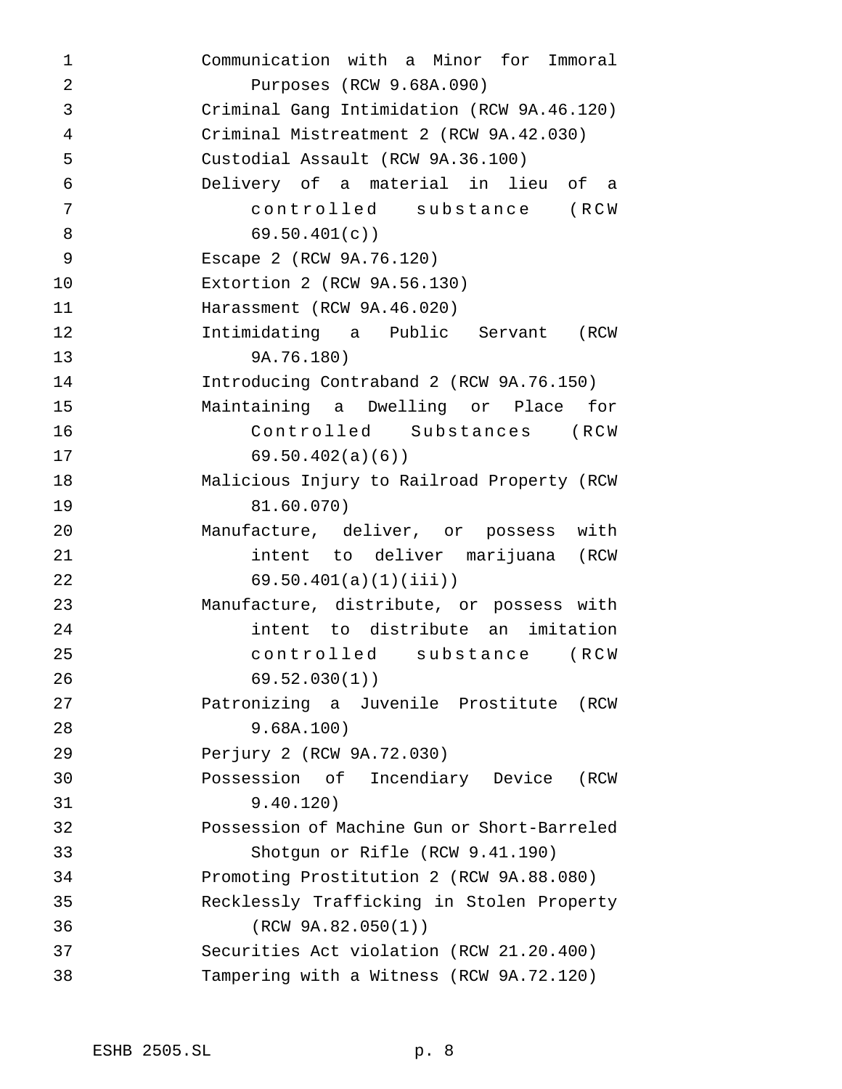Communication with a Minor for Immoral Purposes (RCW 9.68A.090) Criminal Gang Intimidation (RCW 9A.46.120) Criminal Mistreatment 2 (RCW 9A.42.030) Custodial Assault (RCW 9A.36.100) Delivery of a material in lieu of a controlled substance (RCW 69.50.401(c)) Escape 2 (RCW 9A.76.120) Extortion 2 (RCW 9A.56.130) Harassment (RCW 9A.46.020) Intimidating a Public Servant (RCW 9A.76.180) Introducing Contraband 2 (RCW 9A.76.150) Maintaining a Dwelling or Place for Controlled Substances (RCW 69.50.402(a)(6)) Malicious Injury to Railroad Property (RCW 81.60.070) Manufacture, deliver, or possess with intent to deliver marijuana (RCW 69.50.401(a)(1)(iii)) Manufacture, distribute, or possess with intent to distribute an imitation controlled substance (RCW 69.52.030(1)) Patronizing a Juvenile Prostitute (RCW 9.68A.100) Perjury 2 (RCW 9A.72.030) Possession of Incendiary Device (RCW 9.40.120) Possession of Machine Gun or Short-Barreled Shotgun or Rifle (RCW 9.41.190) Promoting Prostitution 2 (RCW 9A.88.080) Recklessly Trafficking in Stolen Property (RCW 9A.82.050(1)) Securities Act violation (RCW 21.20.400) Tampering with a Witness (RCW 9A.72.120)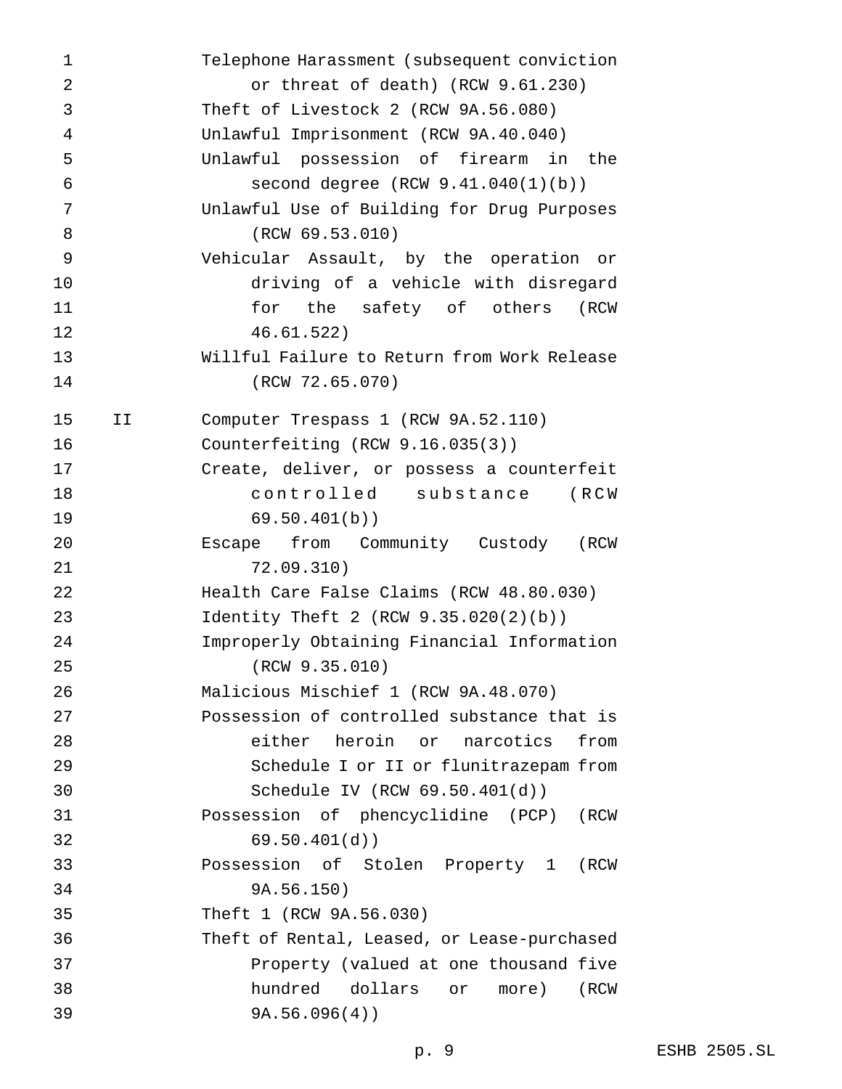| $\mathbf{1}$   |    | Telephone Harassment (subsequent conviction |
|----------------|----|---------------------------------------------|
| $\overline{2}$ |    | or threat of death) (RCW 9.61.230)          |
| 3              |    | Theft of Livestock 2 (RCW 9A.56.080)        |
| 4              |    | Unlawful Imprisonment (RCW 9A.40.040)       |
| 5              |    | Unlawful possession of firearm in the       |
| $\epsilon$     |    | second degree $(RCW 9.41.040(1)(b))$        |
| 7              |    | Unlawful Use of Building for Drug Purposes  |
| 8              |    | (RCW 69.53.010)                             |
| 9              |    | Vehicular Assault, by the operation or      |
| 10             |    | driving of a vehicle with disregard         |
| 11             |    | for the safety of others<br>(RCW            |
| 12             |    | 46.61.522)                                  |
| 13             |    | Willful Failure to Return from Work Release |
| 14             |    | (RCW 72.65.070)                             |
| 15             | IJ | Computer Trespass 1 (RCW 9A.52.110)         |
| 16             |    | Counterfeiting $(RCW 9.16.035(3))$          |
| 17             |    | Create, deliver, or possess a counterfeit   |
| 18             |    | controlled substance (RCW                   |
| 19             |    | 69.50.401(b)                                |
| 20             |    | Escape from Community Custody (RCW          |
| 21             |    | 72.09.310)                                  |
| 22             |    | Health Care False Claims (RCW 48.80.030)    |
| 23             |    | Identity Theft 2 (RCW $9.35.020(2)(b)$ )    |
| 24             |    | Improperly Obtaining Financial Information  |
| 25             |    | (RCW 9.35.010)                              |
| 26             |    | Malicious Mischief 1 (RCW 9A.48.070)        |
| 27             |    | Possession of controlled substance that is  |
| 28             |    | either heroin or narcotics from             |
| 29             |    | Schedule I or II or flunitrazepam from      |
| 30             |    | Schedule IV (RCW 69.50.401(d))              |
| 31             |    | Possession of phencyclidine (PCP) (RCW      |
| 32             |    | 69.50.401(d)                                |
| 33             |    | Possession of Stolen Property 1 (RCW        |
| 34             |    | 9A.56.150)                                  |
| 35             |    | Theft 1 (RCW 9A.56.030)                     |
| 36             |    | Theft of Rental, Leased, or Lease-purchased |
| 37             |    | Property (valued at one thousand five       |
| 38             |    | hundred dollars or<br>more)<br>(RCW         |
| 39             |    | 9A.56.096(4)                                |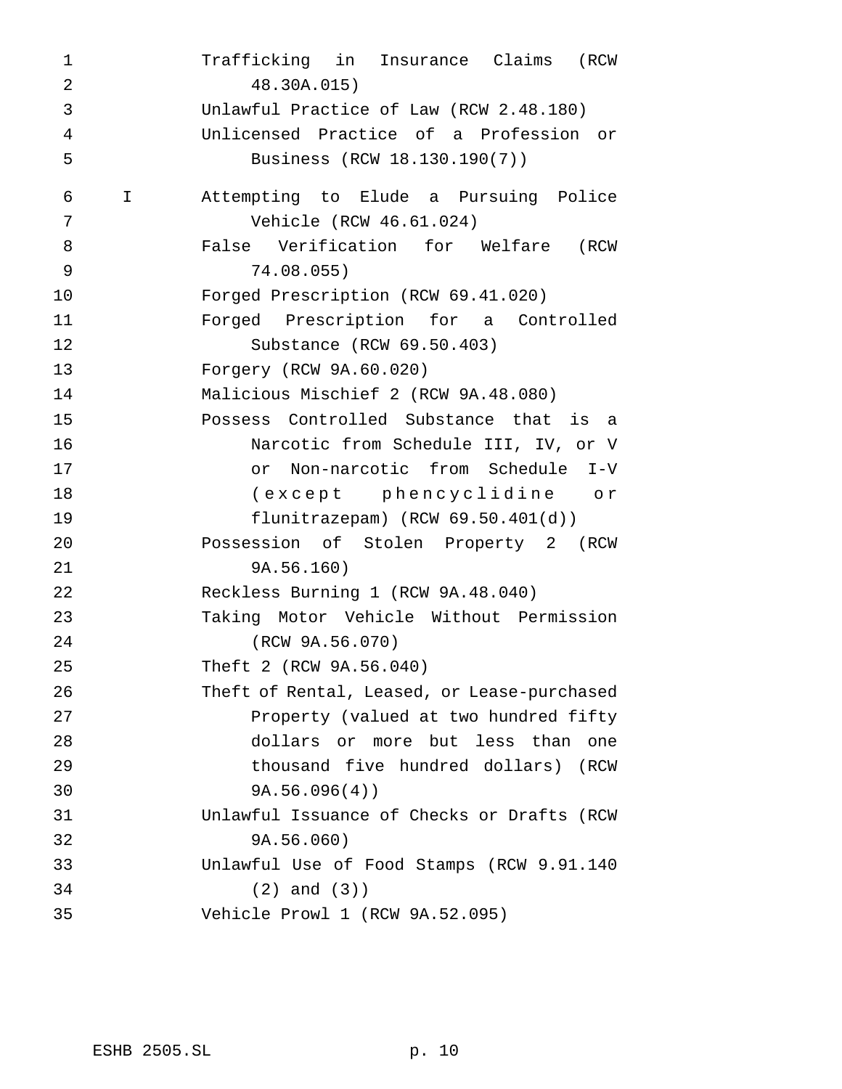Trafficking in Insurance Claims (RCW 48.30A.015) Unlawful Practice of Law (RCW 2.48.180) Unlicensed Practice of a Profession or Business (RCW 18.130.190(7)) I Attempting to Elude a Pursuing Police Vehicle (RCW 46.61.024) False Verification for Welfare (RCW 74.08.055) Forged Prescription (RCW 69.41.020) Forged Prescription for a Controlled Substance (RCW 69.50.403) Forgery (RCW 9A.60.020) Malicious Mischief 2 (RCW 9A.48.080) Possess Controlled Substance that is a Narcotic from Schedule III, IV, or V or Non-narcotic from Schedule I-V (except phencyclidine or flunitrazepam) (RCW 69.50.401(d)) Possession of Stolen Property 2 (RCW 9A.56.160) Reckless Burning 1 (RCW 9A.48.040) Taking Motor Vehicle Without Permission (RCW 9A.56.070) Theft 2 (RCW 9A.56.040) Theft of Rental, Leased, or Lease-purchased Property (valued at two hundred fifty dollars or more but less than one thousand five hundred dollars) (RCW 9A.56.096(4)) Unlawful Issuance of Checks or Drafts (RCW 9A.56.060) Unlawful Use of Food Stamps (RCW 9.91.140 (2) and (3)) Vehicle Prowl 1 (RCW 9A.52.095)